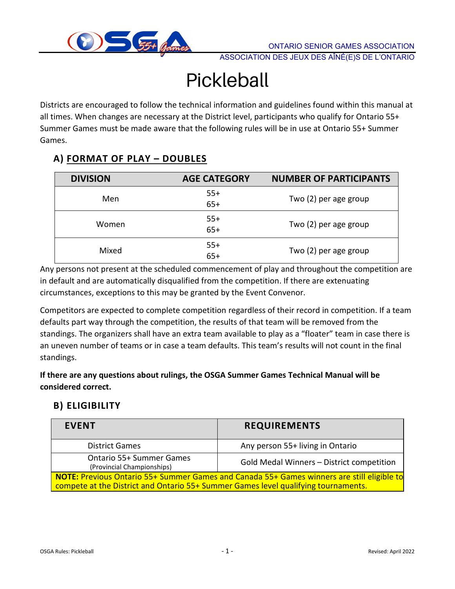

ASSOCIATION DES JEUX DES AÎNÉ(E)S DE L'ONTARIO

# Pickleball

Districts are encouraged to follow the technical information and guidelines found within this manual at all times. When changes are necessary at the District level, participants who qualify for Ontario 55+ Summer Games must be made aware that the following rules will be in use at Ontario 55+ Summer Games.

# **A) FORMAT OF PLAY – DOUBLES**

| <b>DIVISION</b> | <b>AGE CATEGORY</b> | <b>NUMBER OF PARTICIPANTS</b> |
|-----------------|---------------------|-------------------------------|
| Men             | $55+$<br>$65+$      | Two (2) per age group         |
| Women           | $55+$<br>$65+$      | Two (2) per age group         |
| Mixed           | $55+$<br>$65+$      | Two (2) per age group         |

Any persons not present at the scheduled commencement of play and throughout the competition are in default and are automatically disqualified from the competition. If there are extenuating circumstances, exceptions to this may be granted by the Event Convenor.

Competitors are expected to complete competition regardless of their record in competition. If a team defaults part way through the competition, the results of that team will be removed from the standings. The organizers shall have an extra team available to play as a "floater" team in case there is an uneven number of teams or in case a team defaults. This team's results will not count in the final standings.

**If there are any questions about rulings, the OSGA Summer Games Technical Manual will be considered correct.**

# **B) ELIGIBILITY**

| <b>EVENT</b>                                                                                                                                                                            | <b>REQUIREMENTS</b>                       |  |  |
|-----------------------------------------------------------------------------------------------------------------------------------------------------------------------------------------|-------------------------------------------|--|--|
| <b>District Games</b>                                                                                                                                                                   | Any person 55+ living in Ontario          |  |  |
| <b>Ontario 55+ Summer Games</b><br>(Provincial Championships)                                                                                                                           | Gold Medal Winners - District competition |  |  |
| <b>NOTE:</b> Previous Ontario 55+ Summer Games and Canada 55+ Games winners are still eligible to<br>compete at the District and Ontario 55+ Summer Games level qualifying tournaments. |                                           |  |  |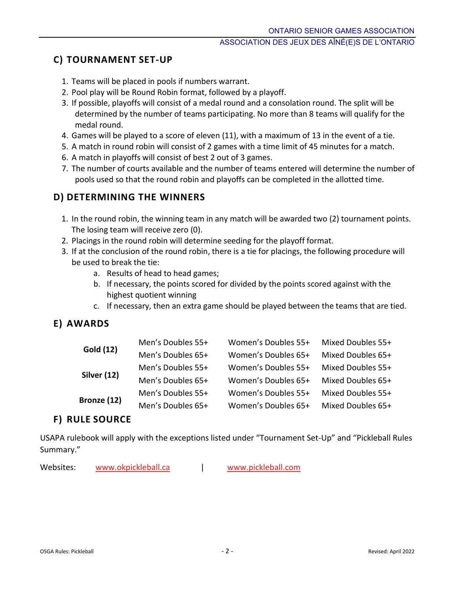# **C) TOURNAMENT SET-UP**

- 1. Teams will be placed in pools if numbers warrant.
- 2. Pool play will be Round Robin format, followed by a playoff.
- 3. If possible, playoffs will consist of a medal round and a consolation round. The split will be determined by the number of teams participating. No more than 8 teams will qualify for the medal round.
- 4. Games will be played to a score of eleven (11), with a maximum of 13 in the event of a tie.
- 5. A match in round robin will consist of 2 games with a time limit of 45 minutes for a match.
- 6. A match in playoffs will consist of best 2 out of 3 games.
- 7. The number of courts available and the number of teams entered will determine the number of pools used so that the round robin and playoffs can be completed in the allotted time.

# **D) DETERMINING THE WINNERS**

- 1. In the round robin, the winning team in any match will be awarded two (2) tournament points. The losing team will receive zero (0).
- 2. Placings in the round robin will determine seeding for the playoff format.
- 3. If at the conclusion of the round robin, there is a tie for placings, the following procedure will be used to break the tie:
	- a. Results of head to head games;
	- b. If necessary, the points scored for divided by the points scored against with the highest quotient winning
	- c. If necessary, then an extra game should be played between the teams that are tied.

# **E) AWARDS**

| <b>Gold (12)</b> | Men's Doubles 55+ | Women's Doubles 55+ | Mixed Doubles 55+ |
|------------------|-------------------|---------------------|-------------------|
|                  | Men's Doubles 65+ | Women's Doubles 65+ | Mixed Doubles 65+ |
| Silver (12)      | Men's Doubles 55+ | Women's Doubles 55+ | Mixed Doubles 55+ |
|                  | Men's Doubles 65+ | Women's Doubles 65+ | Mixed Doubles 65+ |
| Bronze (12)      | Men's Doubles 55+ | Women's Doubles 55+ | Mixed Doubles 55+ |
|                  | Men's Doubles 65+ | Women's Doubles 65+ | Mixed Doubles 65+ |

# **F) RULE SOURCE**

USAPA rulebook will apply with the exceptions listed under "Tournament Set-Up" and "Pickleball Rules Summary."

Websites: [www.okpickleball.ca](http://www.okpickleball.ca/) | [www.pickleball.com](http://www.pickleball.com/)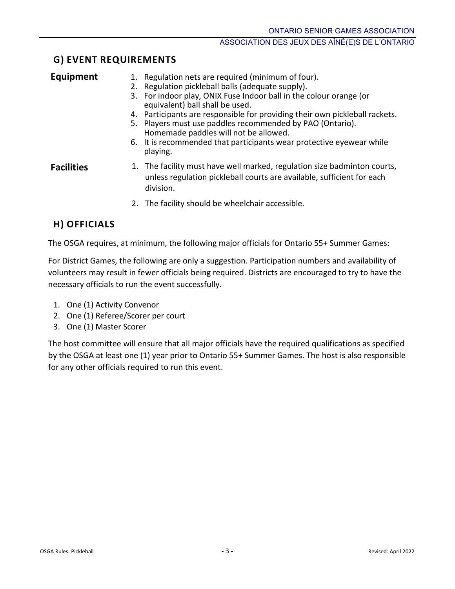# **G) EVENT REQUIREMENTS**

| <b>Equipment</b>  | 1. Regulation nets are required (minimum of four).<br>2. Regulation pickleball balls (adequate supply).<br>3. For indoor play, ONIX Fuse Indoor ball in the colour orange (or<br>equivalent) ball shall be used.<br>4. Participants are responsible for providing their own pickleball rackets.<br>5. Players must use paddles recommended by PAO (Ontario).<br>Homemade paddles will not be allowed.<br>6. It is recommended that participants wear protective eyewear while<br>playing. |
|-------------------|-------------------------------------------------------------------------------------------------------------------------------------------------------------------------------------------------------------------------------------------------------------------------------------------------------------------------------------------------------------------------------------------------------------------------------------------------------------------------------------------|
| <b>Facilities</b> | 1. The facility must have well marked, regulation size badminton courts,<br>unless regulation pickleball courts are available, sufficient for each<br>division.                                                                                                                                                                                                                                                                                                                           |
|                   | 2. The facility should be wheelchair accessible.                                                                                                                                                                                                                                                                                                                                                                                                                                          |

# **H) OFFICIALS**

The OSGA requires, at minimum, the following major officials for Ontario 55+ Summer Games:

For District Games, the following are only a suggestion. Participation numbers and availability of volunteers may result in fewer officials being required. Districts are encouraged to try to have the necessary officials to run the event successfully.

- 1. One (1) Activity Convenor
- 2. One (1) Referee/Scorer per court
- 3. One (1) Master Scorer

The host committee will ensure that all major officials have the required qualifications as specified by the OSGA at least one (1) year prior to Ontario 55+ Summer Games. The host is also responsible for any other officials required to run this event.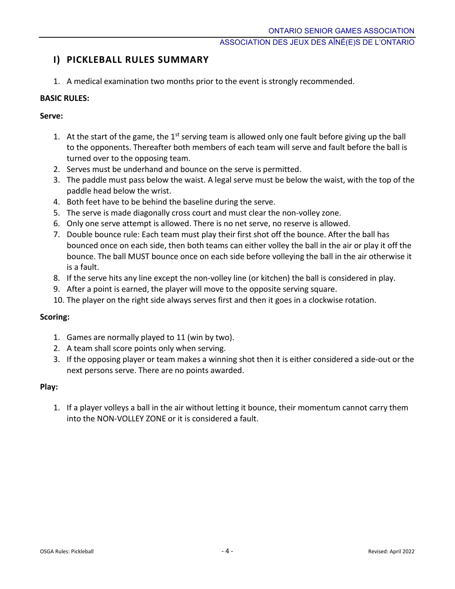# **I) PICKLEBALL RULES SUMMARY**

1. A medical examination two months prior to the event is strongly recommended.

### **BASIC RULES:**

#### **Serve:**

- 1. At the start of the game, the  $1<sup>st</sup>$  serving team is allowed only one fault before giving up the ball to the opponents. Thereafter both members of each team will serve and fault before the ball is turned over to the opposing team.
- 2. Serves must be underhand and bounce on the serve is permitted.
- 3. The paddle must pass below the waist. A legal serve must be below the waist, with the top of the paddle head below the wrist.
- 4. Both feet have to be behind the baseline during the serve.
- 5. The serve is made diagonally cross court and must clear the non-volley zone.
- 6. Only one serve attempt is allowed. There is no net serve, no reserve is allowed.
- 7. Double bounce rule: Each team must play their first shot off the bounce. After the ball has bounced once on each side, then both teams can either volley the ball in the air or play it off the bounce. The ball MUST bounce once on each side before volleying the ball in the air otherwise it is a fault.
- 8. If the serve hits any line except the non-volley line (or kitchen) the ball is considered in play.
- 9. After a point is earned, the player will move to the opposite serving square.
- 10. The player on the right side always serves first and then it goes in a clockwise rotation.

#### **Scoring:**

- 1. Games are normally played to 11 (win by two).
- 2. A team shall score points only when serving.
- 3. If the opposing player or team makes a winning shot then it is either considered a side-out or the next persons serve. There are no points awarded.

#### **Play:**

1. If a player volleys a ball in the air without letting it bounce, their momentum cannot carry them into the NON-VOLLEY ZONE or it is considered a fault.